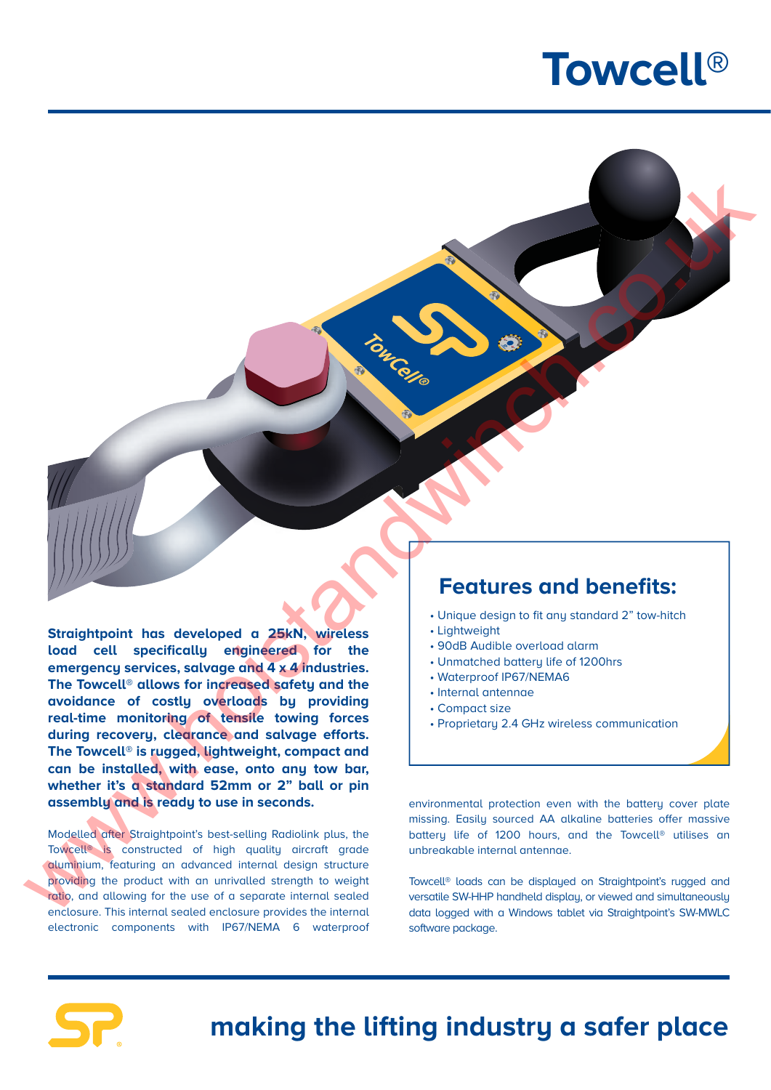## **Towcell®**

**Straightpoint has developed a 25kN, wireless load cell specifically engineered for the emergency services, salvage and 4 x 4 industries. The Towcell® allows for increased safety and the avoidance of costly overloads by providing real-time monitoring of tensile towing forces during recovery, clearance and salvage efforts. The Towcell® is rugged, lightweight, compact and can be installed, with ease, onto any tow bar, whether it's a standard 52mm or 2" ball or pin assembly and is ready to use in seconds.** Example 19 and the standard contained the contained and the standard contained and the standard contained and the standard contained and the standard contained and the standard contained and the standard contained and the

Modelled after Straightpoint's best-selling Radiolink plus, the Towcell® is constructed of high quality aircraft grade aluminium, featuring an advanced internal design structure providing the product with an unrivalled strength to weight ratio, and allowing for the use of a separate internal sealed enclosure. This internal sealed enclosure provides the internal electronic components with IP67/NEMA 6 waterproof

## **Features and benefits:**

- Unique design to fit any standard 2" tow-hitch
- Lightweight
- 90dB Audible overload alarm
- Unmatched battery life of 1200hrs
- Waterproof IP67/NEMA6
- Internal antennae
- Compact size
- Proprietary 2.4 GHz wireless communication

environmental protection even with the battery cover plate missing. Easily sourced AA alkaline batteries offer massive battery life of 1200 hours, and the Towcell® utilises an unbreakable internal antennae.

Towcell® loads can be displayed on Straightpoint's rugged and versatile SW-HHP handheld display, or viewed and simultaneously data logged with a Windows tablet via Straightpoint's SW-MWLC software package.